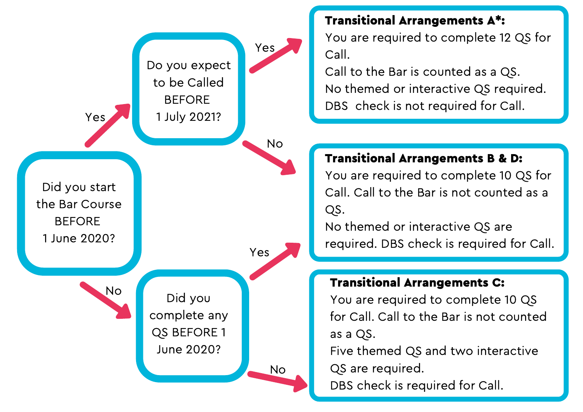

Transitional Arrangements A\*:

You are required to complete 12 QS for Call.

Call to the Bar is counted as a QS. No themed or interactive QS required. DBS check is not required for Call.

## Transitional Arrangements B & D:

You are required to complete 10 QS for Call. Call to the Bar is not counted as a QS.

No themed or interactive QS are required. DBS check is required for Call.

## Transitional Arrangements C:

You are required to complete 10 QS for Call. Call to the Bar is not counted as a QS.

Five themed QS and two interactive

QS are required.

DBS check is required for Call.